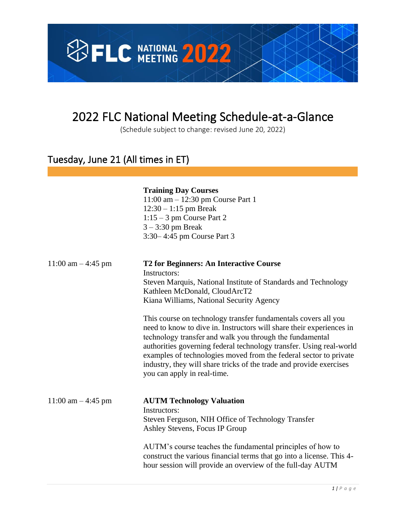

# 2022 FLC National Meeting Schedule-at-a-Glance

(Schedule subject to change: revised June 20, 2022)

### Tuesday, June 21 (All times in ET)

### **Training Day Courses**

11:00 am – 12:30 pm Course Part 1 12:30 – 1:15 pm Break 1:15 – 3 pm Course Part 2 3 – 3:30 pm Break 3:30– 4:45 pm Course Part 3

| 11:00 am $-4:45$ pm   | <b>T2 for Beginners: An Interactive Course</b><br>Instructors:<br>Steven Marquis, National Institute of Standards and Technology<br>Kathleen McDonald, CloudArcT2<br>Kiana Williams, National Security Agency                                                                                                                                                                                                                                        |
|-----------------------|------------------------------------------------------------------------------------------------------------------------------------------------------------------------------------------------------------------------------------------------------------------------------------------------------------------------------------------------------------------------------------------------------------------------------------------------------|
|                       | This course on technology transfer fundamentals covers all you<br>need to know to dive in. Instructors will share their experiences in<br>technology transfer and walk you through the fundamental<br>authorities governing federal technology transfer. Using real-world<br>examples of technologies moved from the federal sector to private<br>industry, they will share tricks of the trade and provide exercises<br>you can apply in real-time. |
| $11:00$ am $-4:45$ pm | <b>AUTM Technology Valuation</b><br>Instructors:<br>Steven Ferguson, NIH Office of Technology Transfer<br>Ashley Stevens, Focus IP Group                                                                                                                                                                                                                                                                                                             |
|                       | AUTM's course teaches the fundamental principles of how to<br>construct the various financial terms that go into a license. This 4-<br>hour session will provide an overview of the full-day AUTM                                                                                                                                                                                                                                                    |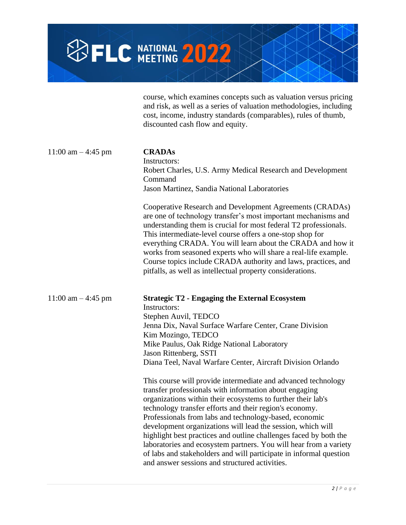

course, which examines concepts such as valuation versus pricing and risk, as well as a series of valuation methodologies, including cost, income, industry standards (comparables), rules of thumb, discounted cash flow and equity.

| 11:00 am $-4:45$ pm | <b>CRADAs</b><br>Instructors:<br>Robert Charles, U.S. Army Medical Research and Development<br>Command<br>Jason Martinez, Sandia National Laboratories                                                                                                                                                                                                                                                                                                                                                                                                                                                                                        |
|---------------------|-----------------------------------------------------------------------------------------------------------------------------------------------------------------------------------------------------------------------------------------------------------------------------------------------------------------------------------------------------------------------------------------------------------------------------------------------------------------------------------------------------------------------------------------------------------------------------------------------------------------------------------------------|
|                     | Cooperative Research and Development Agreements (CRADAs)<br>are one of technology transfer's most important mechanisms and<br>understanding them is crucial for most federal T2 professionals.<br>This intermediate-level course offers a one-stop shop for<br>everything CRADA. You will learn about the CRADA and how it<br>works from seasoned experts who will share a real-life example.<br>Course topics include CRADA authority and laws, practices, and<br>pitfalls, as well as intellectual property considerations.                                                                                                                 |
| 11:00 am $-4:45$ pm | <b>Strategic T2 - Engaging the External Ecosystem</b><br>Instructors:<br>Stephen Auvil, TEDCO<br>Jenna Dix, Naval Surface Warfare Center, Crane Division<br>Kim Mozingo, TEDCO<br>Mike Paulus, Oak Ridge National Laboratory<br>Jason Rittenberg, SSTI<br>Diana Teel, Naval Warfare Center, Aircraft Division Orlando                                                                                                                                                                                                                                                                                                                         |
|                     | This course will provide intermediate and advanced technology<br>transfer professionals with information about engaging<br>organizations within their ecosystems to further their lab's<br>technology transfer efforts and their region's economy.<br>Professionals from labs and technology-based, economic<br>development organizations will lead the session, which will<br>highlight best practices and outline challenges faced by both the<br>laboratories and ecosystem partners. You will hear from a variety<br>of labs and stakeholders and will participate in informal question<br>and answer sessions and structured activities. |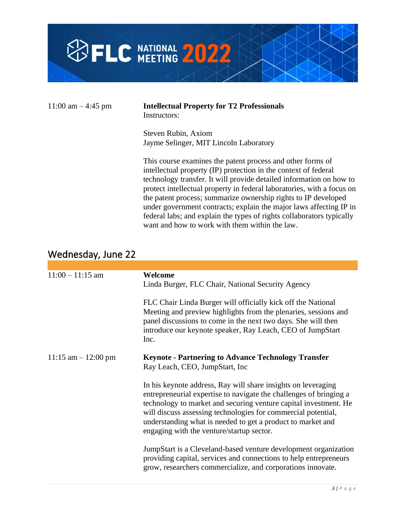

| 11:00 am $-$ 4:45 pm | <b>Intellectual Property for T2 Professionals</b><br>Instructors:                                                                                                                                                                                                                                                                                                                                                                                                                                                                                 |
|----------------------|---------------------------------------------------------------------------------------------------------------------------------------------------------------------------------------------------------------------------------------------------------------------------------------------------------------------------------------------------------------------------------------------------------------------------------------------------------------------------------------------------------------------------------------------------|
|                      | Steven Rubin, Axiom<br>Jayme Selinger, MIT Lincoln Laboratory                                                                                                                                                                                                                                                                                                                                                                                                                                                                                     |
|                      | This course examines the patent process and other forms of<br>intellectual property (IP) protection in the context of federal<br>technology transfer. It will provide detailed information on how to<br>protect intellectual property in federal laboratories, with a focus on<br>the patent process; summarize ownership rights to IP developed<br>under government contracts; explain the major laws affecting IP in<br>federal labs; and explain the types of rights collaborators typically<br>want and how to work with them within the law. |

## Wednesday, June 22

| $11:00 - 11:15$ am     | Welcome<br>Linda Burger, FLC Chair, National Security Agency<br>FLC Chair Linda Burger will officially kick off the National<br>Meeting and preview highlights from the plenaries, sessions and<br>panel discussions to come in the next two days. She will then<br>introduce our keynote speaker, Ray Leach, CEO of JumpStart<br>Inc.                                               |
|------------------------|--------------------------------------------------------------------------------------------------------------------------------------------------------------------------------------------------------------------------------------------------------------------------------------------------------------------------------------------------------------------------------------|
| $11:15$ am $-12:00$ pm | <b>Keynote - Partnering to Advance Technology Transfer</b><br>Ray Leach, CEO, JumpStart, Inc.                                                                                                                                                                                                                                                                                        |
|                        | In his keynote address, Ray will share insights on leveraging<br>entrepreneurial expertise to navigate the challenges of bringing a<br>technology to market and securing venture capital investment. He<br>will discuss assessing technologies for commercial potential,<br>understanding what is needed to get a product to market and<br>engaging with the venture/startup sector. |
|                        | JumpStart is a Cleveland-based venture development organization<br>providing capital, services and connections to help entrepreneurs<br>grow, researchers commercialize, and corporations innovate.                                                                                                                                                                                  |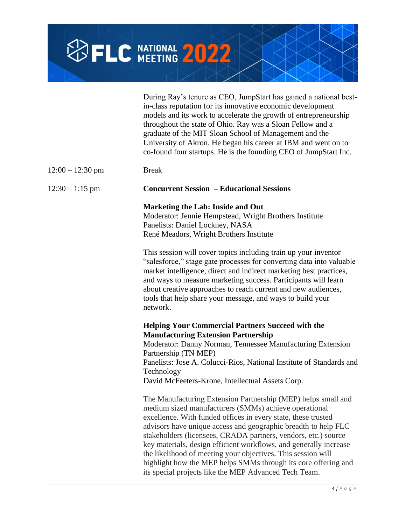

|                    | During Ray's tenure as CEO, JumpStart has gained a national best-<br>in-class reputation for its innovative economic development<br>models and its work to accelerate the growth of entrepreneurship<br>throughout the state of Ohio. Ray was a Sloan Fellow and a<br>graduate of the MIT Sloan School of Management and the<br>University of Akron. He began his career at IBM and went on to<br>co-found four startups. He is the founding CEO of JumpStart Inc.                                                                                                                          |
|--------------------|---------------------------------------------------------------------------------------------------------------------------------------------------------------------------------------------------------------------------------------------------------------------------------------------------------------------------------------------------------------------------------------------------------------------------------------------------------------------------------------------------------------------------------------------------------------------------------------------|
| $12:00 - 12:30$ pm | <b>Break</b>                                                                                                                                                                                                                                                                                                                                                                                                                                                                                                                                                                                |
| $12:30 - 1:15$ pm  | <b>Concurrent Session - Educational Sessions</b>                                                                                                                                                                                                                                                                                                                                                                                                                                                                                                                                            |
|                    | <b>Marketing the Lab: Inside and Out</b><br>Moderator: Jennie Hempstead, Wright Brothers Institute<br>Panelists: Daniel Lockney, NASA<br>René Meadors, Wright Brothers Institute                                                                                                                                                                                                                                                                                                                                                                                                            |
|                    | This session will cover topics including train up your inventor<br>"salesforce," stage gate processes for converting data into valuable<br>market intelligence, direct and indirect marketing best practices,<br>and ways to measure marketing success. Participants will learn<br>about creative approaches to reach current and new audiences,<br>tools that help share your message, and ways to build your<br>network.                                                                                                                                                                  |
|                    | <b>Helping Your Commercial Partners Succeed with the</b><br><b>Manufacturing Extension Partnership</b><br>Moderator: Danny Norman, Tennessee Manufacturing Extension<br>Partnership (TN MEP)<br>Panelists: Jose A. Colucci-Rios, National Institute of Standards and<br>Technology<br>David McFeeters-Krone, Intellectual Assets Corp.                                                                                                                                                                                                                                                      |
|                    | The Manufacturing Extension Partnership (MEP) helps small and<br>medium sized manufacturers (SMMs) achieve operational<br>excellence. With funded offices in every state, these trusted<br>advisors have unique access and geographic breadth to help FLC<br>stakeholders (licensees, CRADA partners, vendors, etc.) source<br>key materials, design efficient workflows, and generally increase<br>the likelihood of meeting your objectives. This session will<br>highlight how the MEP helps SMMs through its core offering and<br>its special projects like the MEP Advanced Tech Team. |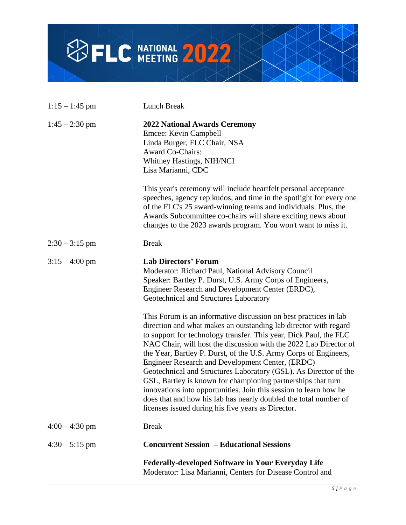

| $1:15 - 1:45$ pm | Lunch Break                                                                                                                                                                                                                                                                                                                                                                                                                                                                                                                                                                                                                                                                                                                               |
|------------------|-------------------------------------------------------------------------------------------------------------------------------------------------------------------------------------------------------------------------------------------------------------------------------------------------------------------------------------------------------------------------------------------------------------------------------------------------------------------------------------------------------------------------------------------------------------------------------------------------------------------------------------------------------------------------------------------------------------------------------------------|
| $1:45 - 2:30$ pm | <b>2022 National Awards Ceremony</b><br>Emcee: Kevin Campbell<br>Linda Burger, FLC Chair, NSA<br><b>Award Co-Chairs:</b><br>Whitney Hastings, NIH/NCI<br>Lisa Marianni, CDC                                                                                                                                                                                                                                                                                                                                                                                                                                                                                                                                                               |
|                  | This year's ceremony will include heartfelt personal acceptance<br>speeches, agency rep kudos, and time in the spotlight for every one<br>of the FLC's 25 award-winning teams and individuals. Plus, the<br>Awards Subcommittee co-chairs will share exciting news about<br>changes to the 2023 awards program. You won't want to miss it.                                                                                                                                                                                                                                                                                                                                                                                                |
| $2:30 - 3:15$ pm | <b>Break</b>                                                                                                                                                                                                                                                                                                                                                                                                                                                                                                                                                                                                                                                                                                                              |
| $3:15 - 4:00$ pm | <b>Lab Directors' Forum</b><br>Moderator: Richard Paul, National Advisory Council<br>Speaker: Bartley P. Durst, U.S. Army Corps of Engineers,<br>Engineer Research and Development Center (ERDC),<br>Geotechnical and Structures Laboratory                                                                                                                                                                                                                                                                                                                                                                                                                                                                                               |
|                  | This Forum is an informative discussion on best practices in lab<br>direction and what makes an outstanding lab director with regard<br>to support for technology transfer. This year, Dick Paul, the FLC<br>NAC Chair, will host the discussion with the 2022 Lab Director of<br>the Year, Bartley P. Durst, of the U.S. Army Corps of Engineers,<br>Engineer Research and Development Center, (ERDC)<br>Geotechnical and Structures Laboratory (GSL). As Director of the<br>GSL, Bartley is known for championing partnerships that turn<br>innovations into opportunities. Join this session to learn how he<br>does that and how his lab has nearly doubled the total number of<br>licenses issued during his five years as Director. |
| $4:00 - 4:30$ pm | <b>Break</b>                                                                                                                                                                                                                                                                                                                                                                                                                                                                                                                                                                                                                                                                                                                              |
| $4:30 - 5:15$ pm | <b>Concurrent Session - Educational Sessions</b>                                                                                                                                                                                                                                                                                                                                                                                                                                                                                                                                                                                                                                                                                          |
|                  | <b>Federally-developed Software in Your Everyday Life</b><br>Moderator: Lisa Marianni, Centers for Disease Control and                                                                                                                                                                                                                                                                                                                                                                                                                                                                                                                                                                                                                    |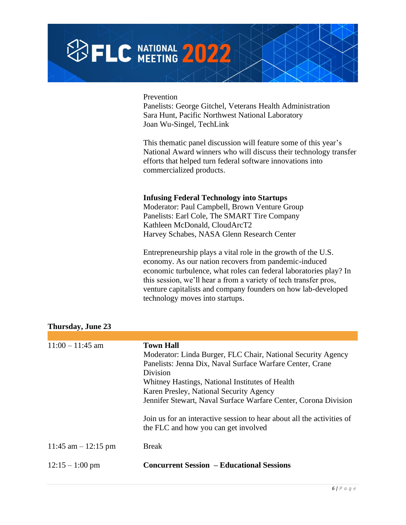| <b>SELC NATIONAL 2022</b> |  |  |  |
|---------------------------|--|--|--|
|                           |  |  |  |

Prevention

Panelists: George Gitchel, Veterans Health Administration Sara Hunt, Pacific Northwest National Laboratory Joan Wu-Singel, TechLink

This thematic panel discussion will feature some of this year's National Award winners who will discuss their technology transfer efforts that helped turn federal software innovations into commercialized products.

#### **Infusing Federal Technology into Startups**

Moderator: Paul Campbell, Brown Venture Group Panelists: Earl Cole, The SMART Tire Company Kathleen McDonald, CloudArcT2 Harvey Schabes, NASA Glenn Research Center

Entrepreneurship plays a vital role in the growth of the U.S. economy. As our nation recovers from pandemic-induced economic turbulence, what roles can federal laboratories play? In this session, we'll hear a from a variety of tech transfer pros, venture capitalists and company founders on how lab-developed technology moves into startups.

| $11:00 - 11:45$ am    | <b>Town Hall</b><br>Moderator: Linda Burger, FLC Chair, National Security Agency<br>Panelists: Jenna Dix, Naval Surface Warfare Center, Crane<br>Division<br>Whitney Hastings, National Institutes of Health<br>Karen Presley, National Security Agency<br>Jennifer Stewart, Naval Surface Warfare Center, Corona Division |
|-----------------------|----------------------------------------------------------------------------------------------------------------------------------------------------------------------------------------------------------------------------------------------------------------------------------------------------------------------------|
|                       | Join us for an interactive session to hear about all the activities of<br>the FLC and how you can get involved                                                                                                                                                                                                             |
| 11:45 am $-$ 12:15 pm | <b>Break</b>                                                                                                                                                                                                                                                                                                               |
| $12:15 - 1:00$ pm     | <b>Concurrent Session – Educational Sessions</b>                                                                                                                                                                                                                                                                           |

### **Thursday, June 23**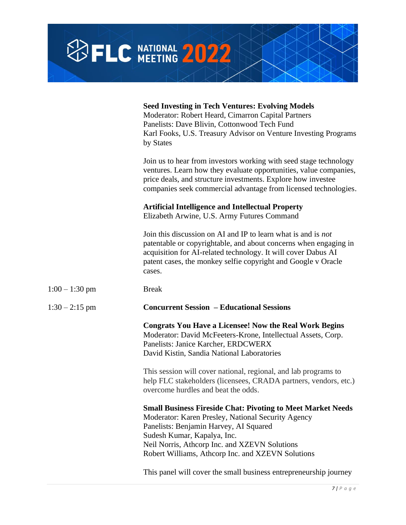|                  | <b>SFLC NATIONAL 2022</b>                                                                                                                                                                                                                                                                               |
|------------------|---------------------------------------------------------------------------------------------------------------------------------------------------------------------------------------------------------------------------------------------------------------------------------------------------------|
|                  |                                                                                                                                                                                                                                                                                                         |
|                  | <b>Seed Investing in Tech Ventures: Evolving Models</b><br>Moderator: Robert Heard, Cimarron Capital Partners<br>Panelists: Dave Blivin, Cottonwood Tech Fund<br>Karl Fooks, U.S. Treasury Advisor on Venture Investing Programs<br>by States                                                           |
|                  | Join us to hear from investors working with seed stage technology<br>ventures. Learn how they evaluate opportunities, value companies,<br>price deals, and structure investments. Explore how investee<br>companies seek commercial advantage from licensed technologies.                               |
|                  | <b>Artificial Intelligence and Intellectual Property</b><br>Elizabeth Arwine, U.S. Army Futures Command                                                                                                                                                                                                 |
|                  | Join this discussion on AI and IP to learn what is and is <i>not</i><br>patentable or copyrightable, and about concerns when engaging in<br>acquisition for AI-related technology. It will cover Dabus AI<br>patent cases, the monkey selfie copyright and Google v Oracle<br>cases.                    |
| $1:00 - 1:30$ pm | <b>Break</b>                                                                                                                                                                                                                                                                                            |
| $1:30 - 2:15$ pm | <b>Concurrent Session - Educational Sessions</b>                                                                                                                                                                                                                                                        |
|                  | <b>Congrats You Have a Licensee! Now the Real Work Begins</b><br>Moderator: David McFeeters-Krone, Intellectual Assets, Corp.<br>Panelists: Janice Karcher, ERDCWERX<br>David Kistin, Sandia National Laboratories                                                                                      |
|                  | This session will cover national, regional, and lab programs to<br>help FLC stakeholders (licensees, CRADA partners, vendors, etc.)<br>overcome hurdles and beat the odds.                                                                                                                              |
|                  | <b>Small Business Fireside Chat: Pivoting to Meet Market Needs</b><br>Moderator: Karen Presley, National Security Agency<br>Panelists: Benjamin Harvey, AI Squared<br>Sudesh Kumar, Kapalya, Inc.<br>Neil Norris, Athcorp Inc. and XZEVN Solutions<br>Robert Williams, Athcorp Inc. and XZEVN Solutions |
|                  | This panel will cover the small business entrepreneurship journey                                                                                                                                                                                                                                       |

≭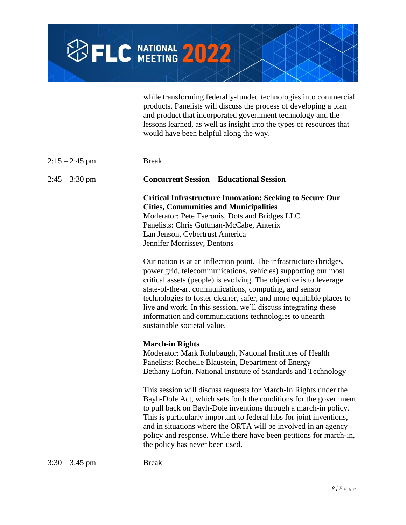

while transforming federally-funded technologies into commercial products. Panelists will discuss the process of developing a plan and product that incorporated government technology and the lessons learned, as well as insight into the types of resources that would have been helpful along the way.

| $2:15 - 2:45$ pm | <b>Break</b>                                                                                                                                                                                                                                                                                                                                                                                                                                                                                           |
|------------------|--------------------------------------------------------------------------------------------------------------------------------------------------------------------------------------------------------------------------------------------------------------------------------------------------------------------------------------------------------------------------------------------------------------------------------------------------------------------------------------------------------|
| $2:45 - 3:30$ pm | <b>Concurrent Session – Educational Session</b>                                                                                                                                                                                                                                                                                                                                                                                                                                                        |
|                  | <b>Critical Infrastructure Innovation: Seeking to Secure Our</b><br><b>Cities, Communities and Municipalities</b><br>Moderator: Pete Tseronis, Dots and Bridges LLC<br>Panelists: Chris Guttman-McCabe, Anterix<br>Lan Jenson, Cybertrust America<br>Jennifer Morrissey, Dentons                                                                                                                                                                                                                       |
|                  | Our nation is at an inflection point. The infrastructure (bridges,<br>power grid, telecommunications, vehicles) supporting our most<br>critical assets (people) is evolving. The objective is to leverage<br>state-of-the-art communications, computing, and sensor<br>technologies to foster cleaner, safer, and more equitable places to<br>live and work. In this session, we'll discuss integrating these<br>information and communications technologies to unearth<br>sustainable societal value. |
|                  | <b>March-in Rights</b><br>Moderator: Mark Rohrbaugh, National Institutes of Health<br>Panelists: Rochelle Blaustein, Department of Energy<br>Bethany Loftin, National Institute of Standards and Technology                                                                                                                                                                                                                                                                                            |
|                  | This session will discuss requests for March-In Rights under the<br>Bayh-Dole Act, which sets forth the conditions for the government<br>to pull back on Bayh-Dole inventions through a march-in policy.<br>This is particularly important to federal labs for joint inventions,<br>and in situations where the ORTA will be involved in an agency<br>policy and response. While there have been petitions for march-in,<br>the policy has never been used.                                            |
| $3:30 - 3:45$ pm | <b>Break</b>                                                                                                                                                                                                                                                                                                                                                                                                                                                                                           |